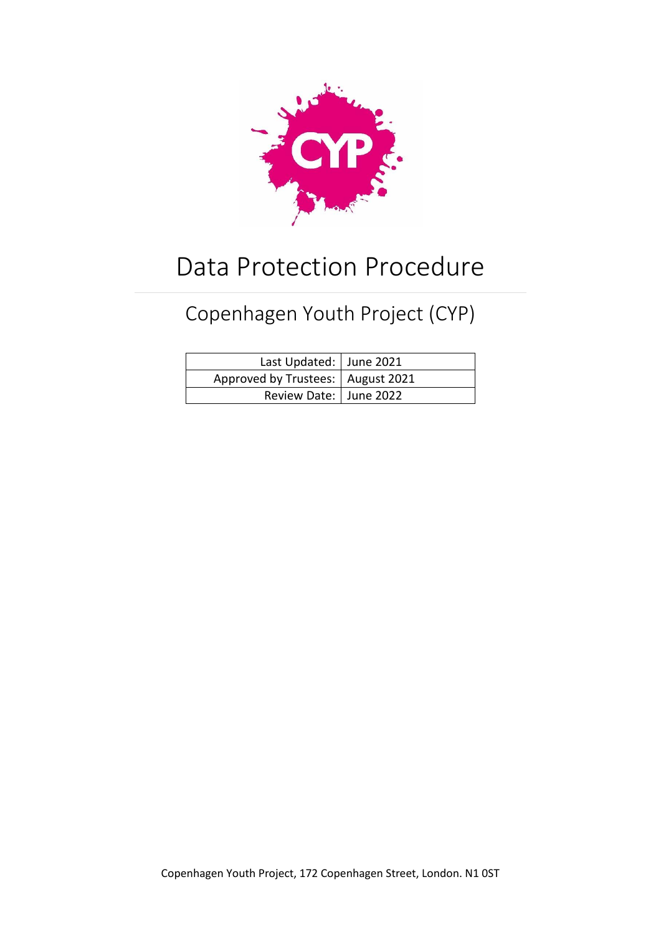

# Data Protection Procedure

# Copenhagen Youth Project (CYP)

| Last Updated:   June 2021           |  |  |
|-------------------------------------|--|--|
| Approved by Trustees:   August 2021 |  |  |
| Review Date:   June 2022            |  |  |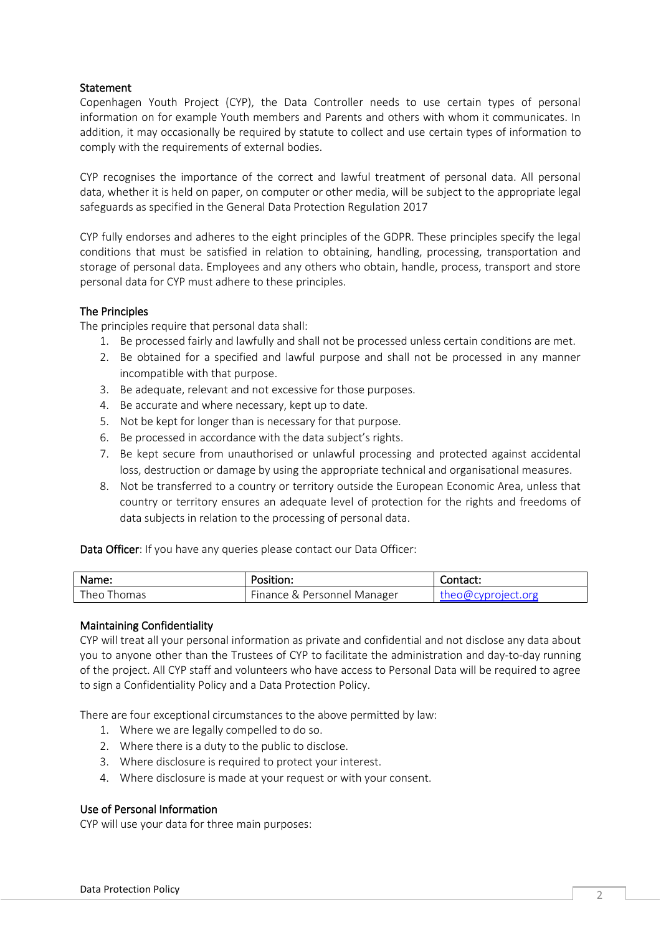# **Statement**

Copenhagen Youth Project (CYP), the Data Controller needs to use certain types of personal information on for example Youth members and Parents and others with whom it communicates. In addition, it may occasionally be required by statute to collect and use certain types of information to comply with the requirements of external bodies.

CYP recognises the importance of the correct and lawful treatment of personal data. All personal data, whether it is held on paper, on computer or other media, will be subject to the appropriate legal safeguards as specified in the General Data Protection Regulation 2017

CYP fully endorses and adheres to the eight principles of the GDPR. These principles specify the legal conditions that must be satisfied in relation to obtaining, handling, processing, transportation and storage of personal data. Employees and any others who obtain, handle, process, transport and store personal data for CYP must adhere to these principles.

# The Principles

The principles require that personal data shall:

- 1. Be processed fairly and lawfully and shall not be processed unless certain conditions are met.
- 2. Be obtained for a specified and lawful purpose and shall not be processed in any manner incompatible with that purpose.
- 3. Be adequate, relevant and not excessive for those purposes.
- 4. Be accurate and where necessary, kept up to date.
- 5. Not be kept for longer than is necessary for that purpose.
- 6. Be processed in accordance with the data subject's rights.
- 7. Be kept secure from unauthorised or unlawful processing and protected against accidental loss, destruction or damage by using the appropriate technical and organisational measures.
- 8. Not be transferred to a country or territory outside the European Economic Area, unless that country or territory ensures an adequate level of protection for the rights and freedoms of data subjects in relation to the processing of personal data.

Data Officer: If you have any queries please contact our Data Officer:

| Name:       | Position:                   | Contact:           |
|-------------|-----------------------------|--------------------|
| Theo Thomas | Finance & Personnel Manager | theo@cyproject.org |

#### Maintaining Confidentiality

CYP will treat all your personal information as private and confidential and not disclose any data about you to anyone other than the Trustees of CYP to facilitate the administration and day-to-day running of the project. All CYP staff and volunteers who have access to Personal Data will be required to agree to sign a Confidentiality Policy and a Data Protection Policy.

There are four exceptional circumstances to the above permitted by law:

- 1. Where we are legally compelled to do so.
- 2. Where there is a duty to the public to disclose.
- 3. Where disclosure is required to protect your interest.
- 4. Where disclosure is made at your request or with your consent.

#### Use of Personal Information

CYP will use your data for three main purposes: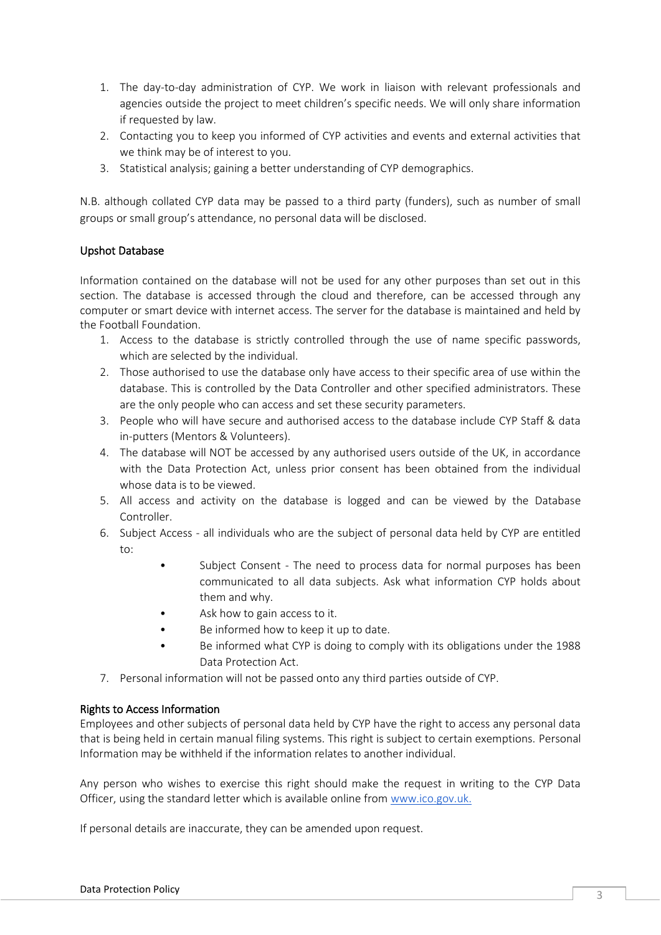- 1. The day-to-day administration of CYP. We work in liaison with relevant professionals and agencies outside the project to meet children's specific needs. We will only share information if requested by law.
- 2. Contacting you to keep you informed of CYP activities and events and external activities that we think may be of interest to you.
- 3. Statistical analysis; gaining a better understanding of CYP demographics.

N.B. although collated CYP data may be passed to a third party (funders), such as number of small groups or small group's attendance, no personal data will be disclosed.

# Upshot Database

Information contained on the database will not be used for any other purposes than set out in this section. The database is accessed through the cloud and therefore, can be accessed through any computer or smart device with internet access. The server for the database is maintained and held by the Football Foundation.

- 1. Access to the database is strictly controlled through the use of name specific passwords, which are selected by the individual.
- 2. Those authorised to use the database only have access to their specific area of use within the database. This is controlled by the Data Controller and other specified administrators. These are the only people who can access and set these security parameters.
- 3. People who will have secure and authorised access to the database include CYP Staff & data in-putters (Mentors & Volunteers).
- 4. The database will NOT be accessed by any authorised users outside of the UK, in accordance with the Data Protection Act, unless prior consent has been obtained from the individual whose data is to be viewed.
- 5. All access and activity on the database is logged and can be viewed by the Database Controller.
- 6. Subject Access all individuals who are the subject of personal data held by CYP are entitled to:
	- Subject Consent The need to process data for normal purposes has been communicated to all data subjects. Ask what information CYP holds about them and why.
	- Ask how to gain access to it.
	- Be informed how to keep it up to date.
	- Be informed what CYP is doing to comply with its obligations under the 1988 Data Protection Act.
- 7. Personal information will not be passed onto any third parties outside of CYP.

#### Rights to Access Information

Employees and other subjects of personal data held by CYP have the right to access any personal data that is being held in certain manual filing systems. This right is subject to certain exemptions. Personal Information may be withheld if the information relates to another individual.

Any person who wishes to exercise this right should make the request in writing to the CYP Data Officer, using the standard letter which is available online from [www.ico.gov.uk.](http://www.ico.gov.uk/)

If personal details are inaccurate, they can be amended upon request.